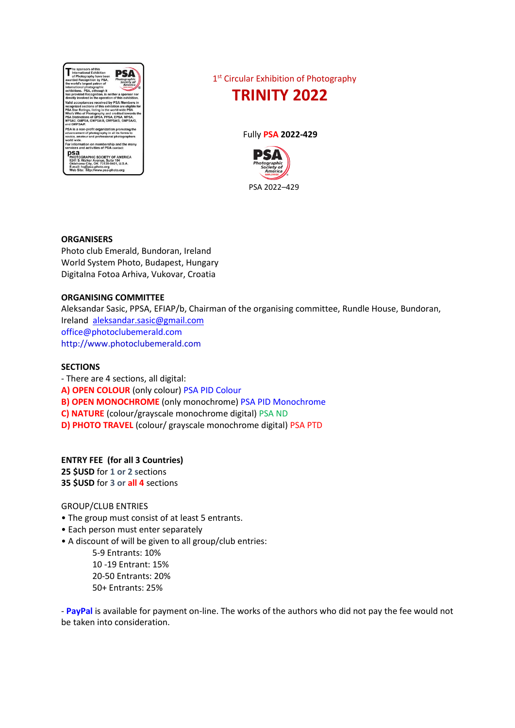

1st Circular Exhibition of Photography



Fully **PSA 2022-429**



## **ORGANISERS**

Photo club Emerald, Bundoran, Ireland World System Photo, Budapest, Hungary Digitalna Fotoa Arhiva, Vukovar, Croatia

### **ORGANISING COMMITTEE**

Aleksandar Sasic, PPSA, EFIAP/b, Chairman of the organising committee, Rundle House, Bundoran, Ireland [aleksandar.sasic@gmail.com](mailto:aleksandar.sasic@gmail.com) [office@photoclubemerald.com](mailto:office@photoclubemerald.com) http://www.photoclubemerald.com

#### **SECTIONS**

- There are 4 sections, all digital: **A) OPEN COLOUR** (only colour) PSA PID Colour **B) OPEN MONOCHROME** (only monochrome) PSA PID Monochrome **C) NATURE** (colour/grayscale monochrome digital) PSA ND **D) PHOTO TRAVEL** (colour/ grayscale monochrome digital) PSA PTD

## **ENTRY FEE (for all 3 Countries)**

**25 \$USD** for **1 or 2 s**ections **35 \$USD** for **3 or all 4** sections

GROUP/CLUB ENTRIES

- The group must consist of at least 5 entrants.
- Each person must enter separately
- A discount of will be given to all group/club entries:
	- 5-9 Entrants: 10% 10 -19 Entrant: 15% 20-50 Entrants: 20% 50+ Entrants: 25%

- **PayPal** is available for payment on-line. The works of the authors who did not pay the fee would not be taken into consideration.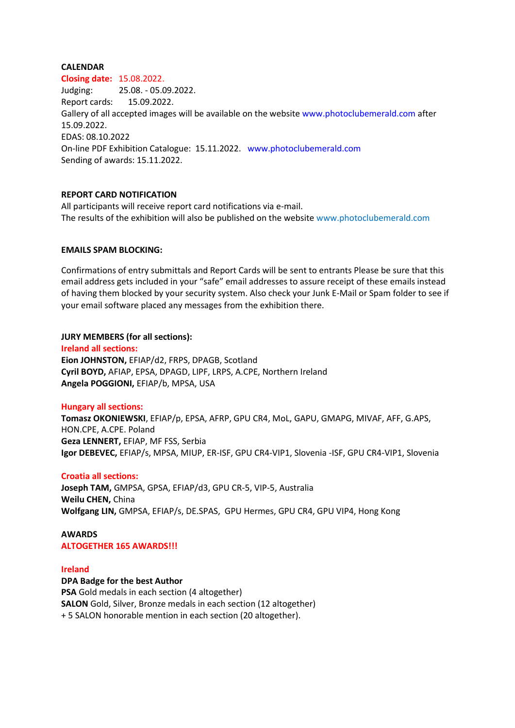### **CALENDAR**

**Closing date:** 15.08.2022. Judging: 25.08. - 05.09.2022. Report cards: 15.09.2022. Gallery of all accepted images will be available on the website www.photoclubemerald.com after 15.09.2022. EDAS: 08.10.2022 On-line PDF Exhibition Catalogue: 15.11.2022. www.photoclubemerald.com Sending of awards: 15.11.2022.

## **REPORT CARD NOTIFICATION**

All participants will receive report card notifications via e-mail. The results of the exhibition will also be published on the website www.photoclubemerald.com

### **EMAILS SPAM BLOCKING:**

Confirmations of entry submittals and Report Cards will be sent to entrants Please be sure that this email address gets included in your "safe" email addresses to assure receipt of these emails instead of having them blocked by your security system. Also check your Junk E-Mail or Spam folder to see if your email software placed any messages from the exhibition there.

### **JURY MEMBERS (for all sections):**

**Ireland all sections: Eion JOHNSTON,** EFIAP/d2, FRPS, DPAGB, Scotland **Cyril BOYD,** AFIAP, EPSA, DPAGD, LIPF, LRPS, A.CPE, Northern Ireland **Angela POGGIONI,** EFIAP/b, MPSA, USA

## **Hungary all sections:**

**Tomasz OKONIEWSKI**, EFIAP/p, EPSA, AFRP, GPU CR4, MoL, GAPU, GMAPG, MIVAF, AFF, G.APS, HON.CPE, A.CPE. Poland **Geza LENNERT,** EFIAP, MF FSS, Serbia **Igor DEBEVEC,** EFIAP/s, MPSA, MIUP, ER-ISF, GPU CR4-VIP1, Slovenia -ISF, GPU CR4-VIP1, Slovenia

## **Croatia all sections:**

**Joseph TAM,** GMPSA, GPSA, EFIAP/d3, GPU CR-5, VIP-5, Australia **Weilu CHEN,** China **Wolfgang LIN,** GMPSA, EFIAP/s, DE.SPAS, GPU Hermes, GPU CR4, GPU VIP4, Hong Kong

#### **AWARDS**

**ALTOGETHER 165 AWARDS!!!**

#### **Ireland**

#### **DPA Badge for the best Author**

**PSA** Gold medals in each section (4 altogether) **SALON** Gold, Silver, Bronze medals in each section (12 altogether) + 5 SALON honorable mention in each section (20 altogether).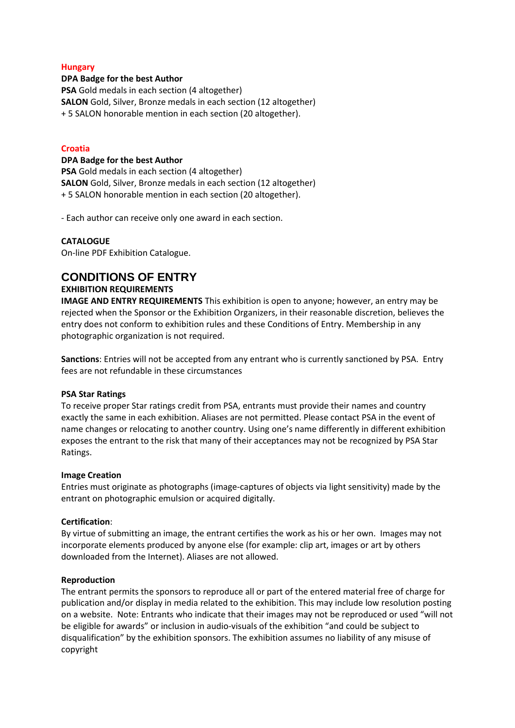## **Hungary**

### **DPA Badge for the best Author**

**PSA** Gold medals in each section (4 altogether) **SALON** Gold, Silver, Bronze medals in each section (12 altogether) + 5 SALON honorable mention in each section (20 altogether).

### **Croatia**

#### **DPA Badge for the best Author**

**PSA** Gold medals in each section (4 altogether) **SALON** Gold, Silver, Bronze medals in each section (12 altogether) + 5 SALON honorable mention in each section (20 altogether).

- Each author can receive only one award in each section.

### **CATALOGUE**

On-line PDF Exhibition Catalogue.

# **CONDITIONS OF ENTRY**

## **EXHIBITION REQUIREMENTS**

**IMAGE AND ENTRY REQUIREMENTS** This exhibition is open to anyone; however, an entry may be rejected when the Sponsor or the Exhibition Organizers, in their reasonable discretion, believes the entry does not conform to exhibition rules and these Conditions of Entry. Membership in any photographic organization is not required.

**Sanctions**: Entries will not be accepted from any entrant who is currently sanctioned by PSA. Entry fees are not refundable in these circumstances

## **PSA Star Ratings**

To receive proper Star ratings credit from PSA, entrants must provide their names and country exactly the same in each exhibition. Aliases are not permitted. Please contact PSA in the event of name changes or relocating to another country. Using one's name differently in different exhibition exposes the entrant to the risk that many of their acceptances may not be recognized by PSA Star Ratings.

## **Image Creation**

Entries must originate as photographs (image-captures of objects via light sensitivity) made by the entrant on photographic emulsion or acquired digitally.

## **Certification**:

By virtue of submitting an image, the entrant certifies the work as his or her own. Images may not incorporate elements produced by anyone else (for example: clip art, images or art by others downloaded from the Internet). Aliases are not allowed.

#### **Reproduction**

The entrant permits the sponsors to reproduce all or part of the entered material free of charge for publication and/or display in media related to the exhibition. This may include low resolution posting on a website. Note: Entrants who indicate that their images may not be reproduced or used "will not be eligible for awards" or inclusion in audio-visuals of the exhibition "and could be subject to disqualification" by the exhibition sponsors. The exhibition assumes no liability of any misuse of copyright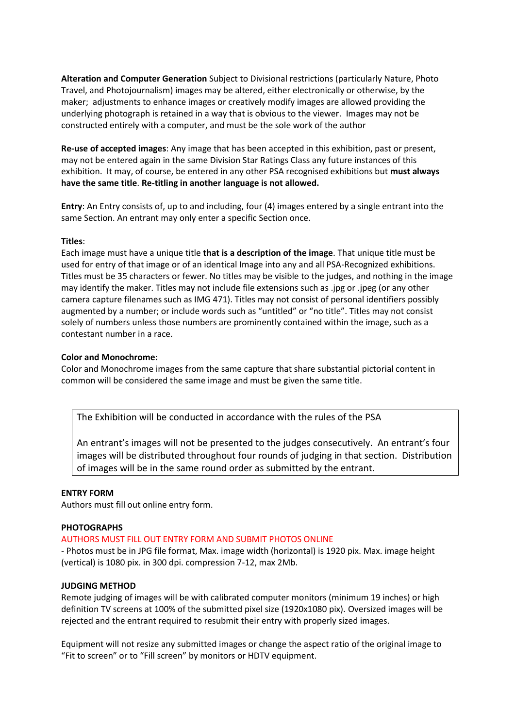**Alteration and Computer Generation** Subject to Divisional restrictions (particularly Nature, Photo Travel, and Photojournalism) images may be altered, either electronically or otherwise, by the maker; adjustments to enhance images or creatively modify images are allowed providing the underlying photograph is retained in a way that is obvious to the viewer. Images may not be constructed entirely with a computer, and must be the sole work of the author

**Re-use of accepted images**: Any image that has been accepted in this exhibition, past or present, may not be entered again in the same Division Star Ratings Class any future instances of this exhibition. It may, of course, be entered in any other PSA recognised exhibitions but **must always have the same title**. **Re-titling in another language is not allowed.**

**Entry**: An Entry consists of, up to and including, four (4) images entered by a single entrant into the same Section. An entrant may only enter a specific Section once.

### **Titles**:

Each image must have a unique title **that is a description of the image**. That unique title must be used for entry of that image or of an identical Image into any and all PSA-Recognized exhibitions. Titles must be 35 characters or fewer. No titles may be visible to the judges, and nothing in the image may identify the maker. Titles may not include file extensions such as .jpg or .jpeg (or any other camera capture filenames such as IMG 471). Titles may not consist of personal identifiers possibly augmented by a number; or include words such as "untitled" or "no title". Titles may not consist solely of numbers unless those numbers are prominently contained within the image, such as a contestant number in a race.

### **Color and Monochrome:**

Color and Monochrome images from the same capture that share substantial pictorial content in common will be considered the same image and must be given the same title.

The Exhibition will be conducted in accordance with the rules of the PSA

An entrant's images will not be presented to the judges consecutively. An entrant's four images will be distributed throughout four rounds of judging in that section. Distribution of images will be in the same round order as submitted by the entrant.

#### **ENTRY FORM**

Authors must fill out online entry form.

#### **PHOTOGRAPHS**

#### AUTHORS MUST FILL OUT ENTRY FORM AND SUBMIT PHOTOS ONLINE

- Photos must be in JPG file format, Max. image width (horizontal) is 1920 pix. Max. image height (vertical) is 1080 pix. in 300 dpi. compression 7-12, max 2Mb.

#### **JUDGING METHOD**

Remote judging of images will be with calibrated computer monitors (minimum 19 inches) or high definition TV screens at 100% of the submitted pixel size (1920x1080 pix). Oversized images will be rejected and the entrant required to resubmit their entry with properly sized images.

Equipment will not resize any submitted images or change the aspect ratio of the original image to "Fit to screen" or to "Fill screen" by monitors or HDTV equipment.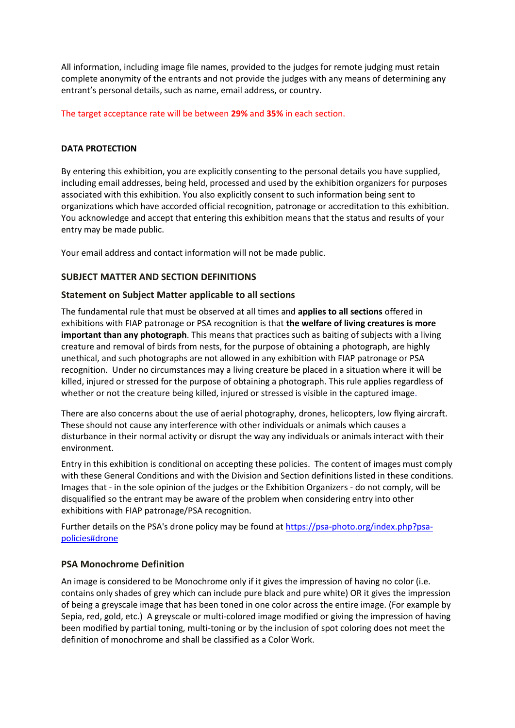All information, including image file names, provided to the judges for remote judging must retain complete anonymity of the entrants and not provide the judges with any means of determining any entrant's personal details, such as name, email address, or country.

The target acceptance rate will be between **29%** and **35%** in each section.

## **DATA PROTECTION**

By entering this exhibition, you are explicitly consenting to the personal details you have supplied, including email addresses, being held, processed and used by the exhibition organizers for purposes associated with this exhibition. You also explicitly consent to such information being sent to organizations which have accorded official recognition, patronage or accreditation to this exhibition. You acknowledge and accept that entering this exhibition means that the status and results of your entry may be made public.

Your email address and contact information will not be made public.

## **SUBJECT MATTER AND SECTION DEFINITIONS**

## **Statement on Subject Matter applicable to all sections**

The fundamental rule that must be observed at all times and **applies to all sections** offered in exhibitions with FIAP patronage or PSA recognition is that **the welfare of living creatures is more important than any photograph**. This means that practices such as baiting of subjects with a living creature and removal of birds from nests, for the purpose of obtaining a photograph, are highly unethical, and such photographs are not allowed in any exhibition with FIAP patronage or PSA recognition. Under no circumstances may a living creature be placed in a situation where it will be killed, injured or stressed for the purpose of obtaining a photograph. This rule applies regardless of whether or not the creature being killed, injured or stressed is visible in the captured image.

There are also concerns about the use of aerial photography, drones, helicopters, low flying aircraft. These should not cause any interference with other individuals or animals which causes a disturbance in their normal activity or disrupt the way any individuals or animals interact with their environment.

Entry in this exhibition is conditional on accepting these policies. The content of images must comply with these General Conditions and with the Division and Section definitions listed in these conditions. Images that - in the sole opinion of the judges or the Exhibition Organizers - do not comply, will be disqualified so the entrant may be aware of the problem when considering entry into other exhibitions with FIAP patronage/PSA recognition.

Further details on the PSA's drone policy may be found at [https://psa-photo.org/index.php?psa](https://psa-photo.org/index.php?psa-policies%23drone)[policies#drone](https://psa-photo.org/index.php?psa-policies%23drone)

## **PSA Monochrome Definition**

An image is considered to be Monochrome only if it gives the impression of having no color (i.e. contains only shades of grey which can include pure black and pure white) OR it gives the impression of being a greyscale image that has been toned in one color across the entire image. (For example by Sepia, red, gold, etc.) A greyscale or multi-colored image modified or giving the impression of having been modified by partial toning, multi-toning or by the inclusion of spot coloring does not meet the definition of monochrome and shall be classified as a Color Work.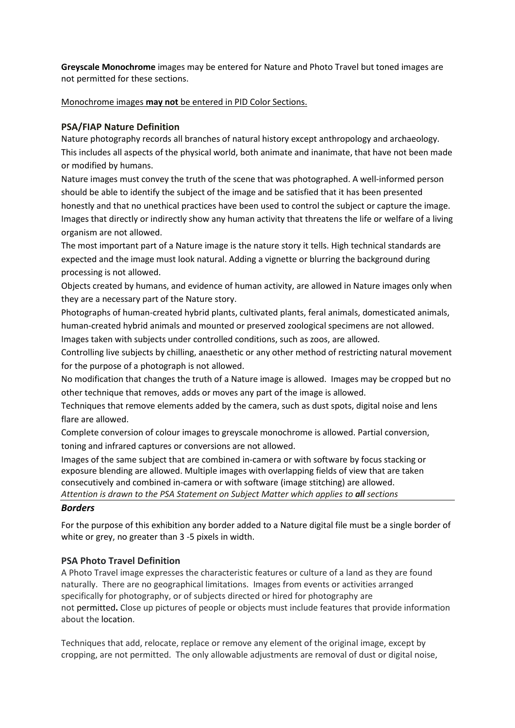**Greyscale Monochrome** images may be entered for Nature and Photo Travel but toned images are not permitted for these sections.

Monochrome images **may not** be entered in PID Color Sections.

## **PSA/FIAP Nature Definition**

Nature photography records all branches of natural history except anthropology and archaeology. This includes all aspects of the physical world, both animate and inanimate, that have not been made or modified by humans.

Nature images must convey the truth of the scene that was photographed. A well-informed person should be able to identify the subject of the image and be satisfied that it has been presented honestly and that no unethical practices have been used to control the subject or capture the image. Images that directly or indirectly show any human activity that threatens the life or welfare of a living organism are not allowed.

The most important part of a Nature image is the nature story it tells. High technical standards are expected and the image must look natural. Adding a vignette or blurring the background during processing is not allowed.

Objects created by humans, and evidence of human activity, are allowed in Nature images only when they are a necessary part of the Nature story.

Photographs of human-created hybrid plants, cultivated plants, feral animals, domesticated animals, human-created hybrid animals and mounted or preserved zoological specimens are not allowed.

Images taken with subjects under controlled conditions, such as zoos, are allowed.

Controlling live subjects by chilling, anaesthetic or any other method of restricting natural movement for the purpose of a photograph is not allowed.

No modification that changes the truth of a Nature image is allowed. Images may be cropped but no other technique that removes, adds or moves any part of the image is allowed.

Techniques that remove elements added by the camera, such as dust spots, digital noise and lens flare are allowed.

Complete conversion of colour images to greyscale monochrome is allowed. Partial conversion, toning and infrared captures or conversions are not allowed.

Images of the same subject that are combined in-camera or with software by focus stacking or exposure blending are allowed. Multiple images with overlapping fields of view that are taken consecutively and combined in-camera or with software (image stitching) are allowed. *Attention is drawn to the PSA Statement on Subject Matter which applies to all sections*

## *Borders*

For the purpose of this exhibition any border added to a Nature digital file must be a single border of white or grey, no greater than 3 -5 pixels in width.

## **PSA Photo Travel Definition**

A Photo Travel image expresses the characteristic features or culture of a land as they are found naturally. There are no geographical limitations. Images from events or activities arranged specifically for photography, or of subjects directed or hired for photography are not permitted**.** Close up pictures of people or objects must include features that provide information about the location.

Techniques that add, relocate, replace or remove any element of the original image, except by cropping, are not permitted. The only allowable adjustments are removal of dust or digital noise,